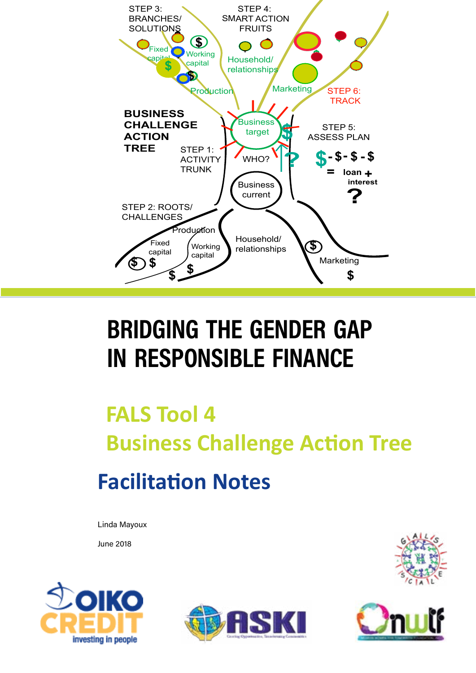

# **bridging the gender gap in responsible finance**

# **FALS Tool 4 Business Challenge Action Tree Facilitation Notes**

Linda Mayoux

June 2018







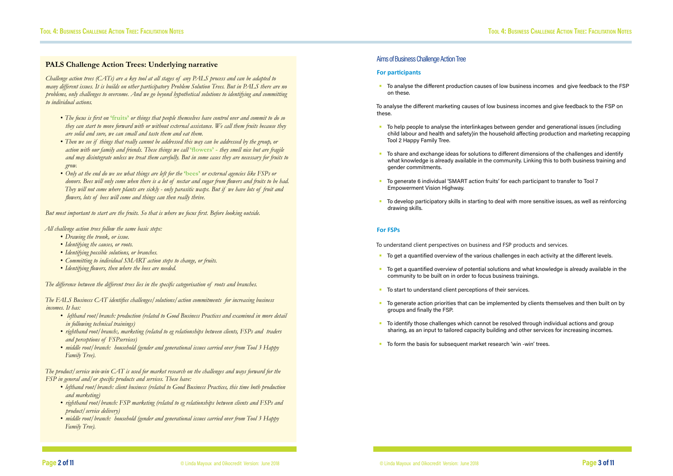### **PALS Challenge Action Trees: Underlying narrative**

*Challenge action trees (CATs) are a key tool at all stages of any PALS process and can be adapted to many different issues. It is builds on other participatory Problem Solution Trees. But in PALS there are no problems, only challenges to overcome. And we go beyond hypothetical solutions to identifying and committing to individual actions.* 

- *• The focus is first on* **'fruits'** *or things that people themselves have control over and commit to do so they can start to move forward with or without external assistance. We call them fruits because they are solid and sure, we can small and taste them and eat them.*
- *• Then we see if things that really cannot be addressed this way can be addressed by the group, or action with our family and friends. These things we call* **'flowers' -** *they smell nice but are fragile and may disintegrate unless we treat them carefully. But in some cases they are necessary for fruits to grow.*
- *• Only at the end do we see what things are left for the* **'bees'** *or external agencies like FSPs or donors. Bees will only come when there is a lot of nectar and sugar from flowers and fruits to be had. They will not come where plants are sickly - only parasitic wasps. But if we have lots of fruit and flowers, lots of bees will come and things can then really thrive.*

- lefthand root/branch: production (related to Good Business Practices and examined in more detail *in following technical trainings)*
- *• righthand root/branch:, marketing (related to eg relationships between clients, FSPs and traders and perceptions of FSPservices)*
- *• middle root/branch: household (gender and generational issues carried over from Tool 3 Happy Family Tree).*

*But most important to start are the fruits. So that is where we focus first. Before looking outside.*

*All challenge action trees follow the same basic steps:*

- *• Drawing the trunk, or issue.*
- *• Identifying the causes, or roots.*
- *• Identifying possible solutions, or branches.*
- *• Committing to individual SMART action steps to change, or fruits.*
- *• Identifying flowers, then where the bees are needed.*

*The difference between the different trees lies in the specific categorisation of roots and branches.* 

*The FALS Business CAT identifies challenges/solutions/action commitments for increasing business incomes. It has:*

*The product/service win-win CAT is used for market research on the challenges and ways forward for the FSP in general and/or specific products and services. These have:*

- *• lefthand root/branch: client business (related to Good Business Practices, this time both production and marketing)*
- *• righthand root/branch: FSP marketing (related to eg relationships between clients and FSPs and product/service delivery)*
- *• middle root/branch: household (gender and generational issues carried over from Tool 3 Happy Family Tree).*

## Aims of Business Challenge Action Tree

### **For participants**

**•** To analyse the different production causes of low business incomes and give feedback to the FSP on these.

To analyse the different marketing causes of low business incomes and give feedback to the FSP on these.

- To help people to analyse the interlinkages between gender and generational issues (including child labour and health and safety)in the household affecting production and marketing recapping Tool 2 Happy Family Tree.
- To share and exchange ideas for solutions to different dimensions of the challenges and identify what knowledge is already available in the community. Linking this to both business training and gender commitments.
- To generate 6 individual 'SMART action fruits' for each participant to transfer to Tool 7 Empowerment Vision Highway.
- To develop participatory skills in starting to deal with more sensitive issues, as well as reinforcing drawing skills.

### **For FSPs**

To understand client perspectives on business and FSP products and services.

- To get a quantified overview of the various challenges in each activity at the different levels.
- To get a quantified overview of potential solutions and what knowledge is already available in the community to be built on in order to focus business trainings.
- To start to understand client perceptions of their services.
- To generate action priorities that can be implemented by clients themselves and then built on by groups and finally the FSP.
- To identify those challenges which cannot be resolved through individual actions and group sharing, as an input to tailored capacity building and other services for increasing incomes.
- To form the basis for subsequent market research 'win -win' trees.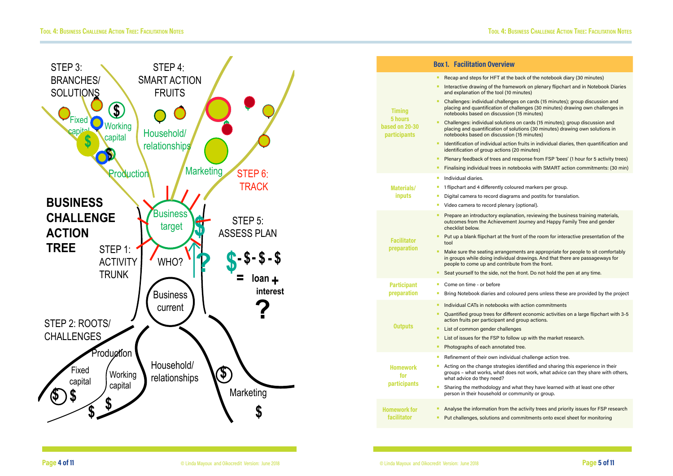

- Recap and steps for HFT at the back of the notebook diary (30 minutes)
- **Interactive drawing of the framework on plenary flipchart and in Notebook Diaries** 
	- Challenges: individual challenges on cards (15 minutes); group discussion and placing and quantification of challenges (30 minutes) drawing own challenges in
- Challenges: individual solutions on cards (15 minutes); group discussion and placing and quantification of solutions (30 minutes) drawing own solutions in
- **•** Identification of individual action fruits in individual diaries, then quantification and
	- Plenary feedback of trees and response from FSP 'bees' (1 hour for 5 activity trees)
	- Finalising individual trees in notebooks with SMART action commitments: (30 min)
		-
- Digital camera to record diagrams and postits for translation.
	-
	- Prepare an introductory explanation, reviewing the business training materials, outcomes from the Achievement Journey and Happy Family Tree and gender
- **•** Put up a blank flipchart at the front of the room for interactive presentation of the
- Make sure the seating arrangements are appropriate for people to sit comfortably in groups while doing individual drawings. And that there are passageways for
- Seat yourself to the side, not the front. Do not hold the pen at any time.
- Bring Notebook diaries and coloured pens unless these are provided by the project
	-
- Quantified group trees for different economic activities on a large flipchart with 3-5
	-
- List of issues for the FSP to follow up with the market research.
	-
	-
- Acting on the change strategies identified and sharing this experience in their groups – what works, what does not work, what advice can they share with others,
- Sharing the methodology and what they have learned with at least one other
- **•** Analyse the information from the activity trees and priority issues for FSP research
- Put challenges, solutions and commitments onto excel sheet for monitoring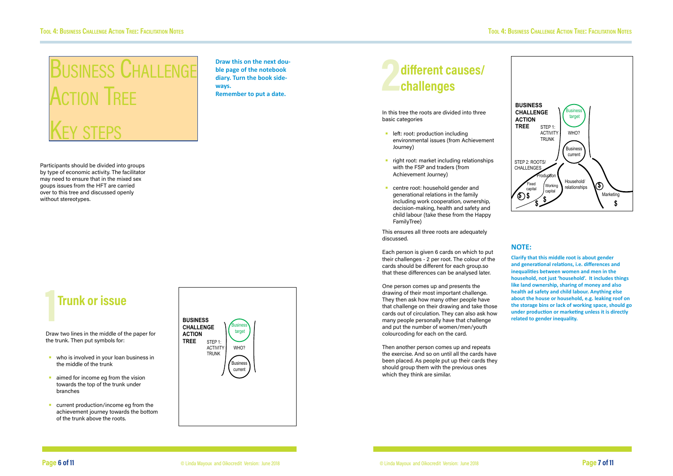# Business Challenge **ACTION TREE** KEY STEPS



# **Trunk or issue**

Draw two lines in the middle of the paper for the trunk. Then put symbols for:

- who is involved in your loan business in the middle of the trunk
- aimed for income eg from the vision towards the top of the trunk under branches
- current production/income eg from the achievement journey towards the bottom of the trunk above the roots.
- **•** left: root: production including environmental issues (from Achievement Journey)
- right root: market including relationships with the FSP and traders (from Achievement Journey)
- centre root: household gender and generational relations in the family including work cooperation, ownership, decision-making, health and safety and child labour (take these from the Happy FamilyTree)

**Draw this on the next double page of the notebook diary. Turn the book sideways. Remember to put a date.**



Then another person comes up and repeats the exercise. And so on until all the cards have been placed. As people put up their cards they should group them with the previous ones which they think are similar.



Participants should be divided into groups by type of economic activity. The facilitator may need to ensure that in the mixed sex goups issues from the HFT are carried over to this tree and discussed openly without stereotypes.

# **2 different causes/ challenges**

In this tree the roots are divided into three basic categories

This ensures all three roots are adequately discussed.

Each person is given 6 cards on which to put their challenges - 2 per root. The colour of the cards should be different for each group.so that these differences can be analysed later.

One person comes up and presents the drawing of their most important challenge. They then ask how many other people have that challenge on their drawing and take those cards out of circulation. They can also ask how many people personally have that challenge and put the number of women/men/youth colourcoding for each on the card.

## **NOTE:**

**Clarify that this middle root is about gender and generational relations, i.e. differences and inequalities between women and men in the household, not just 'household'. It includes things like land ownership, sharing of money and also health ad safety and child labour. Anything else about the house or household, e.g. leaking roof on the storage bins or lack of working space, should go under production or marketing unless it is directly related to gender inequality.**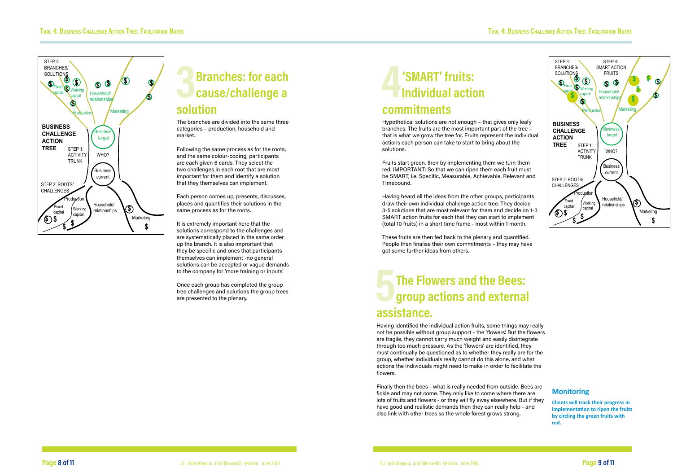# **13 Branches: for each**<br> **3 Branches:** for each<br> **3 <b>A**<br> **3 <b>A**<br> **3 <b>A**<br> **3 <b>A**<br> **3 Branches:** for each<br> **3 <b>A**<br> **3 BRANCHE**<br> **3 BRANCHE**<br> **3 BRANCHE**<br> **3 BRANCHE**<br> **3 BRANCHE**<br> **3 BRANCHE Branches: for each cause/challenge a solution**



The branches are divided into the same three categories – production, household and market.

Following the same process as for the roots, and the same colour-coding, participants are each given 6 cards. They select the two challenges in each root that are most important for them and identify a solution that they themselves can implement.

Each person comes up, presents, discusses, places and quantifies their solutions in the same process as for the roots.

It is extremely important here that the solutions correspond to the challenges and are systematically placed in the same order up the branch. It is also imprortant that they be specific and ones that participants themselves can implement -no general solutions can be accepted or vague demands to the company for 'more training or inputs'.

Once each group has completed the group tree challenges and solutions the group trees are presented to the plenary.

# **5 The Flowers and the Bees:**<br>**group actions and external group actions and external assistance.**

# **4'SMART' fruits: Individual action commitments**

Hypothetical solutions are not enough – that gives only leafy branches. The fruits are the most important part of the tree – that is what we grow the tree for. Fruits represent the individual actions each person can take to start to bring about the solutions.

Fruits start green, then by implementing them we turn them red. IMPORTANT: So that we can ripen them each fruit must be SMART, i.e. Specific, Measurable, Achievable, Relevant and Timebound.

Having heard all the ideas from the other groups, participants draw their own individual challenge action tree. They decide 3-5 solutions that are most relevant for them and decide on 1-3 SMART action fruits for each that they can start to implement (total 10 fruits) in a short time frame - most within 1 month.

These fruits are then fed back to the plenary and quantified. People then finalise their own commitments – they may have got some further ideas from others.

# **Monitoring**

**Clients will track their progress in implementation to ripen the fruits by circling the green fruits with red.** 



Having identified the individual action fruits, some things may really not be possible without group support - the 'flowers'. But the flowers are fragile, they cannot carry much weight and easily disintegrate through too much pressure. As the 'flowers' are identified, they must continually be questioned as to whether they really are for the group, whether individuals really cannot do this alone, and what actions the individuals might need to make in order to facilitate the flowers.

Finally then the bees - what is really needed from outside. Bees are fickle and may not come. They only like to come where there are lots of fruits and flowers - or they will fly away elsewhere. But if they have good and realistic demands then they can really help - and also link with other trees so the whole forest grows strong.